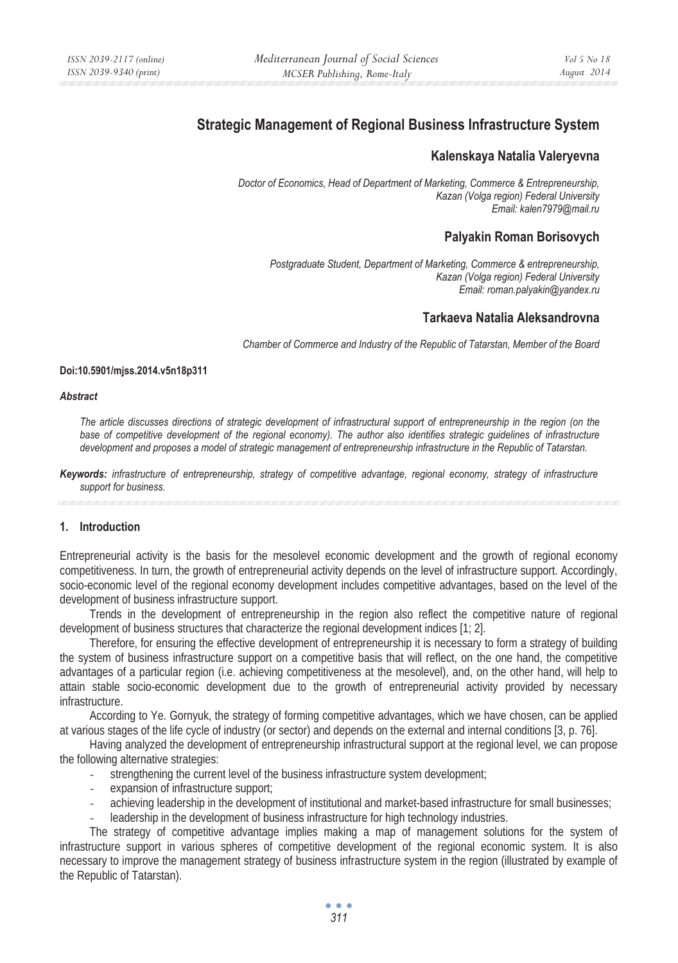# **Strategic Management of Regional Business Infrastructure System**

# **Kalenskaya Natalia Valeryevna**

*Doctor of Economics, Head of Department of Marketing, Commerce & Entrepreneurship, Kazan (Volga region) Federal University Email: kalen7979@mail.ru* 

# **Palyakin Roman Borisovych**

*Postgraduate Student, Department of Marketing, Commerce & entrepreneurship, Kazan (Volga region) Federal University Email: roman.palyakin@yandex.ru* 

# **Tarkaeva Natalia Aleksandrovna**

*Chamber of Commerce and Industry of the Republic of Tatarstan, Member of the Board* 

### **Doi:10.5901/mjss.2014.v5n18p311**

#### *Abstract*

*The article discusses directions of strategic development of infrastructural support of entrepreneurship in the region (on the*  base of competitive development of the regional economy). The author also identifies strategic quidelines of infrastructure *development and proposes a model of strategic management of entrepreneurship infrastructure in the Republic of Tatarstan.* 

*Keywords: infrastructure of entrepreneurship, strategy of competitive advantage, regional economy, strategy of infrastructure support for business.* 

### **1. Introduction**

Entrepreneurial activity is the basis for the mesolevel economic development and the growth of regional economy competitiveness. In turn, the growth of entrepreneurial activity depends on the level of infrastructure support. Accordingly, socio-economic level of the regional economy development includes competitive advantages, based on the level of the development of business infrastructure support.

Trends in the development of entrepreneurship in the region also reflect the competitive nature of regional development of business structures that characterize the regional development indices [1; 2].

Therefore, for ensuring the effective development of entrepreneurship it is necessary to form a strategy of building the system of business infrastructure support on a competitive basis that will reflect, on the one hand, the competitive advantages of a particular region (i.e. achieving competitiveness at the mesolevel), and, on the other hand, will help to attain stable socio-economic development due to the growth of entrepreneurial activity provided by necessary infrastructure.

According to Ye. Gornyuk, the strategy of forming competitive advantages, which we have chosen, can be applied at various stages of the life cycle of industry (or sector) and depends on the external and internal conditions [3, p. 76].

Having analyzed the development of entrepreneurship infrastructural support at the regional level, we can propose the following alternative strategies:

- strengthening the current level of the business infrastructure system development;
- expansion of infrastructure support;
- achieving leadership in the development of institutional and market-based infrastructure for small businesses;
- leadership in the development of business infrastructure for high technology industries.

The strategy of competitive advantage implies making a map of management solutions for the system of infrastructure support in various spheres of competitive development of the regional economic system. It is also necessary to improve the management strategy of business infrastructure system in the region (illustrated by example of the Republic of Tatarstan).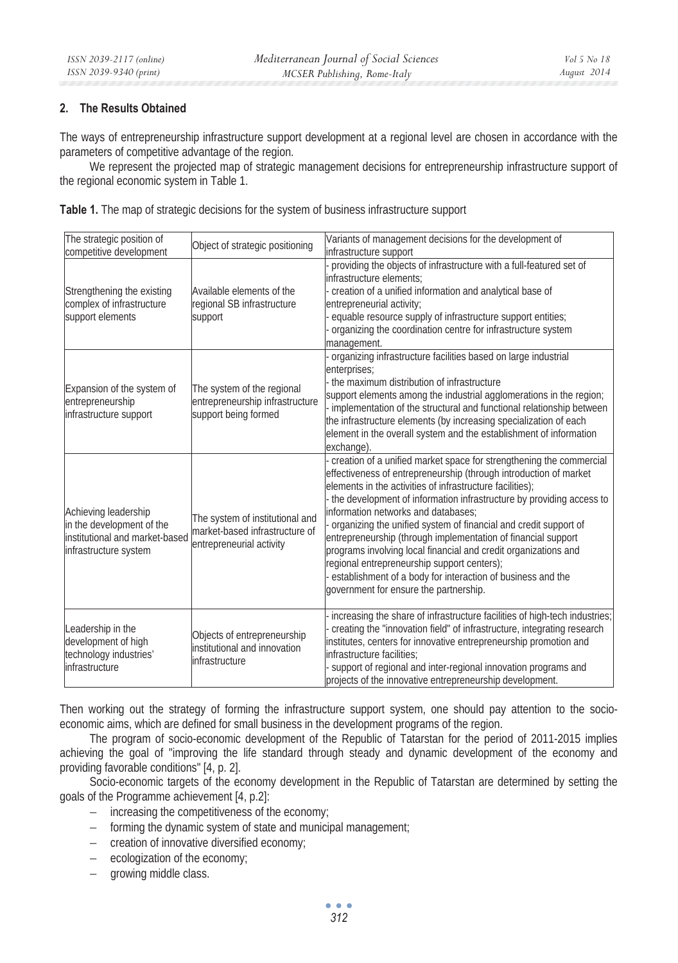# **2. The Results Obtained**

The ways of entrepreneurship infrastructure support development at a regional level are chosen in accordance with the parameters of competitive advantage of the region.

We represent the projected map of strategic management decisions for entrepreneurship infrastructure support of the regional economic system in Table 1.

|  |  | Table 1. The map of strategic decisions for the system of business infrastructure support |
|--|--|-------------------------------------------------------------------------------------------|
|  |  |                                                                                           |

| The strategic position of<br>competitive development                                                         | Object of strategic positioning                                                               | Variants of management decisions for the development of<br>infrastructure support                                                                                                                                                                                                                                                                                                                                                                                                                                                                                                                                                                                                      |
|--------------------------------------------------------------------------------------------------------------|-----------------------------------------------------------------------------------------------|----------------------------------------------------------------------------------------------------------------------------------------------------------------------------------------------------------------------------------------------------------------------------------------------------------------------------------------------------------------------------------------------------------------------------------------------------------------------------------------------------------------------------------------------------------------------------------------------------------------------------------------------------------------------------------------|
| Strengthening the existing<br>complex of infrastructure<br>support elements                                  | Available elements of the<br>regional SB infrastructure<br>support                            | providing the objects of infrastructure with a full-featured set of<br>infrastructure elements:<br>creation of a unified information and analytical base of<br>entrepreneurial activity;<br>equable resource supply of infrastructure support entities;<br>organizing the coordination centre for infrastructure system<br>management.                                                                                                                                                                                                                                                                                                                                                 |
| Expansion of the system of<br>entrepreneurship<br>infrastructure support                                     | The system of the regional<br>entrepreneurship infrastructure<br>support being formed         | organizing infrastructure facilities based on large industrial<br>enterprises;<br>the maximum distribution of infrastructure<br>support elements among the industrial agglomerations in the region;<br>implementation of the structural and functional relationship between<br>the infrastructure elements (by increasing specialization of each<br>element in the overall system and the establishment of information<br>exchange).                                                                                                                                                                                                                                                   |
| Achieving leadership<br>in the development of the<br>institutional and market-based<br>infrastructure system | The system of institutional and<br>market-based infrastructure of<br>entrepreneurial activity | creation of a unified market space for strengthening the commercial<br>effectiveness of entrepreneurship (through introduction of market<br>elements in the activities of infrastructure facilities);<br>- the development of information infrastructure by providing access to<br>information networks and databases:<br>organizing the unified system of financial and credit support of<br>entrepreneurship (through implementation of financial support<br>programs involving local financial and credit organizations and<br>regional entrepreneurship support centers);<br>establishment of a body for interaction of business and the<br>government for ensure the partnership. |
| Leadership in the<br>development of high<br>technology industries'<br>infrastructure                         | Objects of entrepreneurship<br>institutional and innovation<br>infrastructure                 | increasing the share of infrastructure facilities of high-tech industries;<br>creating the "innovation field" of infrastructure, integrating research<br>institutes, centers for innovative entrepreneurship promotion and<br>infrastructure facilities:<br>support of regional and inter-regional innovation programs and<br>projects of the innovative entrepreneurship development.                                                                                                                                                                                                                                                                                                 |

Then working out the strategy of forming the infrastructure support system, one should pay attention to the socioeconomic aims, which are defined for small business in the development programs of the region.

The program of socio-economic development of the Republic of Tatarstan for the period of 2011-2015 implies achieving the goal of "improving the life standard through steady and dynamic development of the economy and providing favorable conditions" [4, p. 2].

Socio-economic targets of the economy development in the Republic of Tatarstan are determined by setting the goals of the Programme achievement [4, p.2]:

- − increasing the competitiveness of the economy;
- − forming the dynamic system of state and municipal management;
- − creation of innovative diversified economy;
- − ecologization of the economy;
- − growing middle class.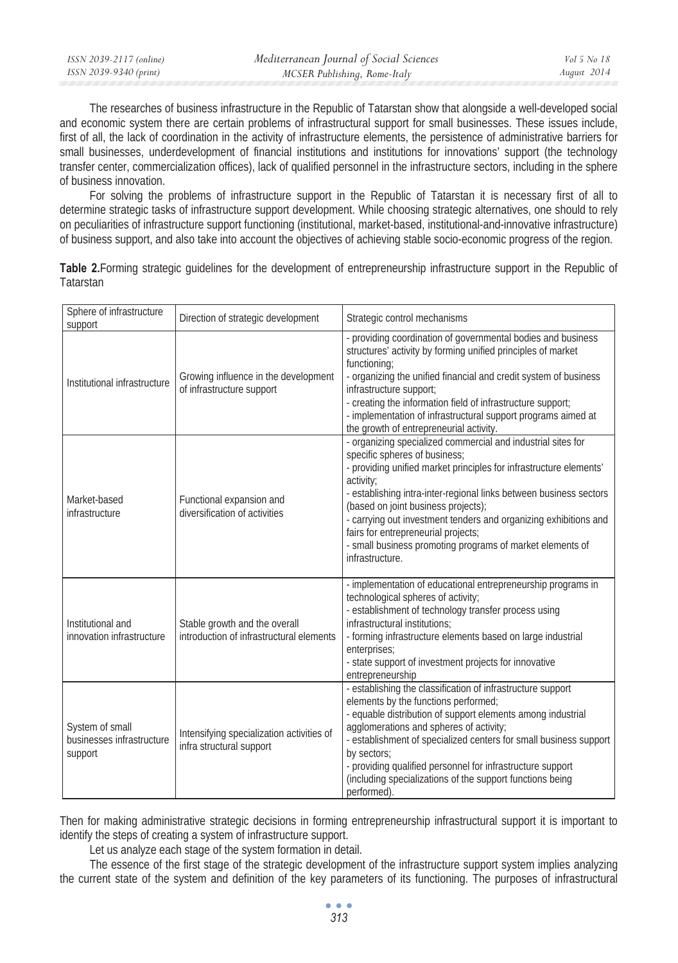| ISSN 2039-2117 (online) | Mediterranean Journal of Social Sciences | Vol 5 No 18 |
|-------------------------|------------------------------------------|-------------|
| ISSN 2039-9340 (print)  | MCSER Publishing, Rome-Italy             | August 2014 |

The researches of business infrastructure in the Republic of Tatarstan show that alongside a well-developed social and economic system there are certain problems of infrastructural support for small businesses. These issues include, first of all, the lack of coordination in the activity of infrastructure elements, the persistence of administrative barriers for small businesses, underdevelopment of financial institutions and institutions for innovations' support (the technology transfer center, commercialization offices), lack of qualified personnel in the infrastructure sectors, including in the sphere of business innovation.

For solving the problems of infrastructure support in the Republic of Tatarstan it is necessary first of all to determine strategic tasks of infrastructure support development. While choosing strategic alternatives, one should to rely on peculiarities of infrastructure support functioning (institutional, market-based, institutional-and-innovative infrastructure) of business support, and also take into account the objectives of achieving stable socio-economic progress of the region.

**Table 2.**Forming strategic guidelines for the development of entrepreneurship infrastructure support in the Republic of Tatarstan

| Sphere of infrastructure<br>support                     | Direction of strategic development                                        | Strategic control mechanisms                                                                                                                                                                                                                                                                                                                                                                                                                                                             |
|---------------------------------------------------------|---------------------------------------------------------------------------|------------------------------------------------------------------------------------------------------------------------------------------------------------------------------------------------------------------------------------------------------------------------------------------------------------------------------------------------------------------------------------------------------------------------------------------------------------------------------------------|
| Institutional infrastructure                            | Growing influence in the development<br>of infrastructure support         | - providing coordination of governmental bodies and business<br>structures' activity by forming unified principles of market<br>functioning;<br>- organizing the unified financial and credit system of business<br>infrastructure support;<br>- creating the information field of infrastructure support;<br>- implementation of infrastructural support programs aimed at<br>the growth of entrepreneurial activity.                                                                   |
| Market-based<br>infrastructure                          | Functional expansion and<br>diversification of activities                 | - organizing specialized commercial and industrial sites for<br>specific spheres of business;<br>- providing unified market principles for infrastructure elements'<br>activity;<br>- establishing intra-inter-regional links between business sectors<br>(based on joint business projects);<br>- carrying out investment tenders and organizing exhibitions and<br>fairs for entrepreneurial projects;<br>- small business promoting programs of market elements of<br>infrastructure. |
| Institutional and<br>innovation infrastructure          | Stable growth and the overall<br>introduction of infrastructural elements | - implementation of educational entrepreneurship programs in<br>technological spheres of activity;<br>- establishment of technology transfer process using<br>infrastructural institutions:<br>- forming infrastructure elements based on large industrial<br>enterprises;<br>- state support of investment projects for innovative<br>entrepreneurship                                                                                                                                  |
| System of small<br>businesses infrastructure<br>support | Intensifying specialization activities of<br>infra structural support     | - establishing the classification of infrastructure support<br>elements by the functions performed;<br>- equable distribution of support elements among industrial<br>agglomerations and spheres of activity;<br>- establishment of specialized centers for small business support<br>by sectors:<br>- providing qualified personnel for infrastructure support<br>(including specializations of the support functions being<br>performed).                                              |

Then for making administrative strategic decisions in forming entrepreneurship infrastructural support it is important to identify the steps of creating a system of infrastructure support.

Let us analyze each stage of the system formation in detail.

The essence of the first stage of the strategic development of the infrastructure support system implies analyzing the current state of the system and definition of the key parameters of its functioning. The purposes of infrastructural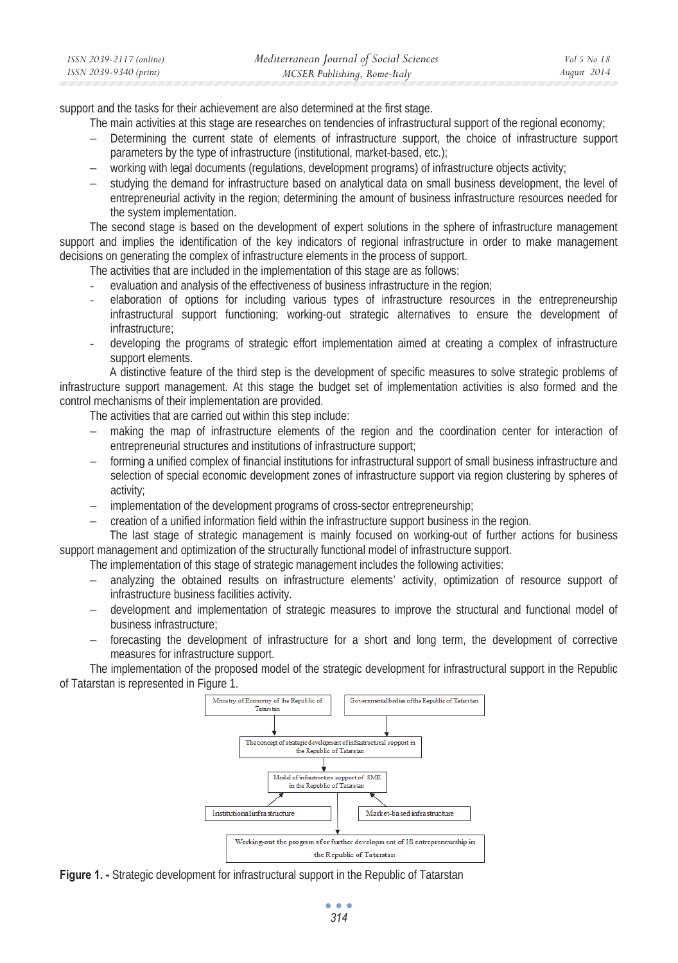| ISSN 2039-2117 (online) | Mediterranean Journal of Social Sciences | Vol 5 No 18 |
|-------------------------|------------------------------------------|-------------|
| ISSN 2039-9340 (print)  | MCSER Publishing, Rome-Italy             | August 2014 |

support and the tasks for their achievement are also determined at the first stage.

The main activities at this stage are researches on tendencies of infrastructural support of the regional economy;

- − Determining the current state of elements of infrastructure support, the choice of infrastructure support parameters by the type of infrastructure (institutional, market-based, etc.);
- − working with legal documents (regulations, development programs) of infrastructure objects activity;
- studying the demand for infrastructure based on analytical data on small business development, the level of entrepreneurial activity in the region; determining the amount of business infrastructure resources needed for the system implementation.

The second stage is based on the development of expert solutions in the sphere of infrastructure management support and implies the identification of the key indicators of regional infrastructure in order to make management decisions on generating the complex of infrastructure elements in the process of support.

The activities that are included in the implementation of this stage are as follows:

- evaluation and analysis of the effectiveness of business infrastructure in the region;
- elaboration of options for including various types of infrastructure resources in the entrepreneurship infrastructural support functioning; working-out strategic alternatives to ensure the development of infrastructure;
- developing the programs of strategic effort implementation aimed at creating a complex of infrastructure support elements.

 A distinctive feature of the third step is the development of specific measures to solve strategic problems of infrastructure support management. At this stage the budget set of implementation activities is also formed and the control mechanisms of their implementation are provided.

The activities that are carried out within this step include:

- making the map of infrastructure elements of the region and the coordination center for interaction of entrepreneurial structures and institutions of infrastructure support;
- forming a unified complex of financial institutions for infrastructural support of small business infrastructure and selection of special economic development zones of infrastructure support via region clustering by spheres of activity;
- implementation of the development programs of cross-sector entrepreneurship;
- − creation of a unified information field within the infrastructure support business in the region.

 The last stage of strategic management is mainly focused on working-out of further actions for business support management and optimization of the structurally functional model of infrastructure support.

The implementation of this stage of strategic management includes the following activities:

- analyzing the obtained results on infrastructure elements' activity, optimization of resource support of infrastructure business facilities activity.
- − development and implementation of strategic measures to improve the structural and functional model of business infrastructure;
- forecasting the development of infrastructure for a short and long term, the development of corrective measures for infrastructure support.

The implementation of the proposed model of the strategic development for infrastructural support in the Republic of Tatarstan is represented in Figure 1.



**Figure 1. -** Strategic development for infrastructural support in the Republic of Tatarstan

 $\bullet$   $\bullet$   $\bullet$ *314*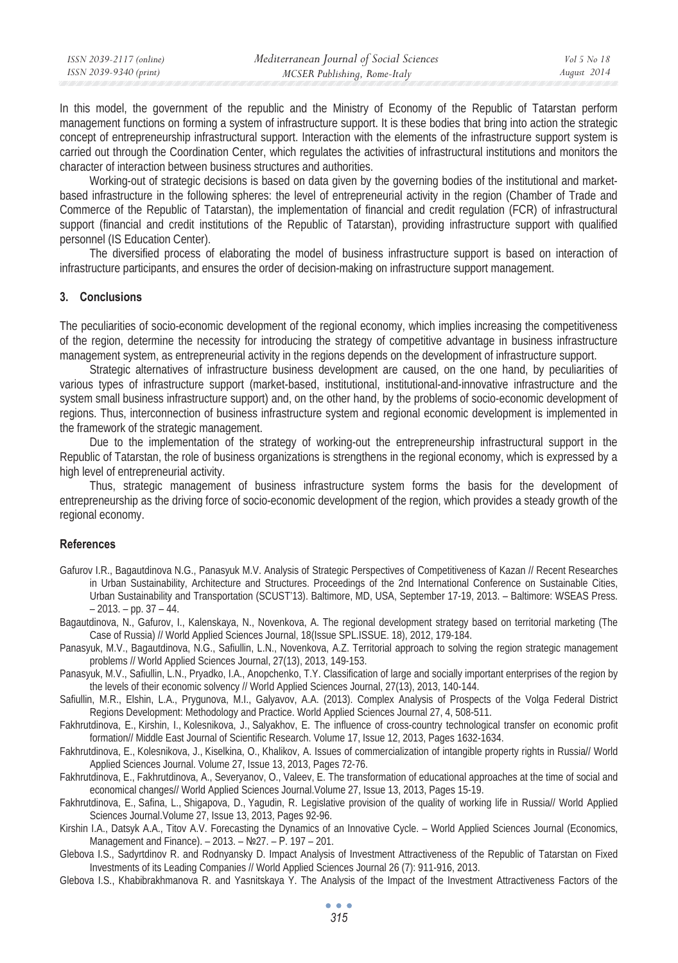| ISSN 2039-2117 (online) | Mediterranean Journal of Social Sciences | Vol 5 No 18 |
|-------------------------|------------------------------------------|-------------|
| ISSN 2039-9340 (print)  | MCSER Publishing, Rome-Italy             | August 2014 |
|                         |                                          |             |

In this model, the government of the republic and the Ministry of Economy of the Republic of Tatarstan perform management functions on forming a system of infrastructure support. It is these bodies that bring into action the strategic concept of entrepreneurship infrastructural support. Interaction with the elements of the infrastructure support system is carried out through the Coordination Center, which regulates the activities of infrastructural institutions and monitors the character of interaction between business structures and authorities.

Working-out of strategic decisions is based on data given by the governing bodies of the institutional and marketbased infrastructure in the following spheres: the level of entrepreneurial activity in the region (Chamber of Trade and Commerce of the Republic of Tatarstan), the implementation of financial and credit regulation (FCR) of infrastructural support (financial and credit institutions of the Republic of Tatarstan), providing infrastructure support with qualified personnel (IS Education Center).

The diversified process of elaborating the model of business infrastructure support is based on interaction of infrastructure participants, and ensures the order of decision-making on infrastructure support management.

### **3. Conclusions**

The peculiarities of socio-economic development of the regional economy, which implies increasing the competitiveness of the region, determine the necessity for introducing the strategy of competitive advantage in business infrastructure management system, as entrepreneurial activity in the regions depends on the development of infrastructure support.

Strategic alternatives of infrastructure business development are caused, on the one hand, by peculiarities of various types of infrastructure support (market-based, institutional, institutional-and-innovative infrastructure and the system small business infrastructure support) and, on the other hand, by the problems of socio-economic development of regions. Thus, interconnection of business infrastructure system and regional economic development is implemented in the framework of the strategic management.

Due to the implementation of the strategy of working-out the entrepreneurship infrastructural support in the Republic of Tatarstan, the role of business organizations is strengthens in the regional economy, which is expressed by a high level of entrepreneurial activity.

Thus, strategic management of business infrastructure system forms the basis for the development of entrepreneurship as the driving force of socio-economic development of the region, which provides a steady growth of the regional economy.

### **References**

- Gafurov I.R., Bagautdinova N.G., Panasyuk M.V. Analysis of Strategic Perspectives of Competitiveness of Kazan // Recent Researches in Urban Sustainability, Architecture and Structures. Proceedings of the 2nd International Conference on Sustainable Cities, Urban Sustainability and Transportation (SCUST'13). Baltimore, MD, USA, September 17-19, 2013. – Baltimore: WSEAS Press.  $-2013. - pp. 37 - 44.$
- Bagautdinova, N., Gafurov, I., Kalenskaya, N., Novenkova, A. The regional development strategy based on territorial marketing (The Case of Russia) // World Applied Sciences Journal, 18(Issue SPL.ISSUE. 18), 2012, 179-184.
- Panasyuk, M.V., Bagautdinova, N.G., Safiullin, L.N., Novenkova, A.Z. Territorial approach to solving the region strategic management problems // World Applied Sciences Journal, 27(13), 2013, 149-153.
- Panasyuk, M.V., Safiullin, L.N., Pryadko, I.A., Anopchenko, T.Y. Classification of large and socially important enterprises of the region by the levels of their economic solvency // World Applied Sciences Journal, 27(13), 2013, 140-144.
- Safiullin, M.R., Elshin, L.A., Prygunova, M.I., Galyavov, A.A. (2013). Complex Analysis of Prospects of the Volga Federal District Regions Development: Methodology and Practice. World Applied Sciences Journal 27, 4, 508-511.
- Fakhrutdinova, E., Kirshin, I., Kolesnikova, J., Salyakhov, E. The influence of cross-country technological transfer on economic profit formation// Middle East Journal of Scientific Research. Volume 17, Issue 12, 2013, Pages 1632-1634.
- Fakhrutdinova, E., Kolesnikova, J., Kiselkina, O., Khalikov, A. Issues of commercialization of intangible property rights in Russia// World Applied Sciences Journal. Volume 27, Issue 13, 2013, Pages 72-76.
- Fakhrutdinova, E., Fakhrutdinova, A., Severyanov, O., Valeev, E. The transformation of educational approaches at the time of social and economical changes// World Applied Sciences Journal.Volume 27, Issue 13, 2013, Pages 15-19.
- Fakhrutdinova, E., Safina, L., Shigapova, D., Yagudin, R. Legislative provision of the quality of working life in Russia// World Applied Sciences Journal.Volume 27, Issue 13, 2013, Pages 92-96.
- Kirshin I.A., Datsyk A.A., Titov A.V. Forecasting the Dynamics of an Innovative Cycle. World Applied Sciences Journal (Economics, Management and Finance). – 2013. – №27. – Р. 197 – 201.
- Glebova I.S., Sadyrtdinov R. and Rodnyansky D. Impact Analysis of Investment Attractiveness of the Republic of Tatarstan on Fixed Investments of its Leading Companies // World Applied Sciences Journal 26 (7): 911-916, 2013.
- Glebova I.S., Khabibrakhmanova R. and Yasnitskaya Y. The Analysis of the Impact of the Investment Attractiveness Factors of the